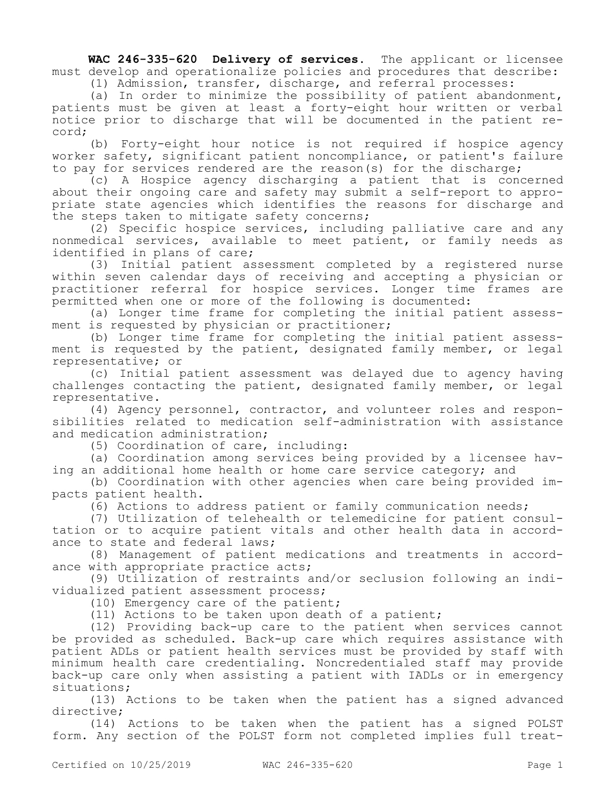**WAC 246-335-620 Delivery of services.** The applicant or licensee must develop and operationalize policies and procedures that describe:

(1) Admission, transfer, discharge, and referral processes:

(a) In order to minimize the possibility of patient abandonment, patients must be given at least a forty-eight hour written or verbal notice prior to discharge that will be documented in the patient record;

(b) Forty-eight hour notice is not required if hospice agency worker safety, significant patient noncompliance, or patient's failure to pay for services rendered are the reason(s) for the discharge;

(c) A Hospice agency discharging a patient that is concerned about their ongoing care and safety may submit a self-report to appropriate state agencies which identifies the reasons for discharge and the steps taken to mitigate safety concerns;

(2) Specific hospice services, including palliative care and any nonmedical services, available to meet patient, or family needs as identified in plans of care;

(3) Initial patient assessment completed by a registered nurse within seven calendar days of receiving and accepting a physician or practitioner referral for hospice services. Longer time frames are permitted when one or more of the following is documented:

(a) Longer time frame for completing the initial patient assessment is requested by physician or practitioner;

(b) Longer time frame for completing the initial patient assessment is requested by the patient, designated family member, or legal representative; or

(c) Initial patient assessment was delayed due to agency having challenges contacting the patient, designated family member, or legal representative.

(4) Agency personnel, contractor, and volunteer roles and responsibilities related to medication self-administration with assistance and medication administration;

(5) Coordination of care, including:

(a) Coordination among services being provided by a licensee having an additional home health or home care service category; and

(b) Coordination with other agencies when care being provided impacts patient health.

(6) Actions to address patient or family communication needs;

(7) Utilization of telehealth or telemedicine for patient consultation or to acquire patient vitals and other health data in accordance to state and federal laws;

(8) Management of patient medications and treatments in accordance with appropriate practice acts;

(9) Utilization of restraints and/or seclusion following an individualized patient assessment process;

(10) Emergency care of the patient;

(11) Actions to be taken upon death of a patient;

(12) Providing back-up care to the patient when services cannot be provided as scheduled. Back-up care which requires assistance with patient ADLs or patient health services must be provided by staff with minimum health care credentialing. Noncredentialed staff may provide back-up care only when assisting a patient with IADLs or in emergency situations;

(13) Actions to be taken when the patient has a signed advanced directive;

(14) Actions to be taken when the patient has a signed POLST form. Any section of the POLST form not completed implies full treat